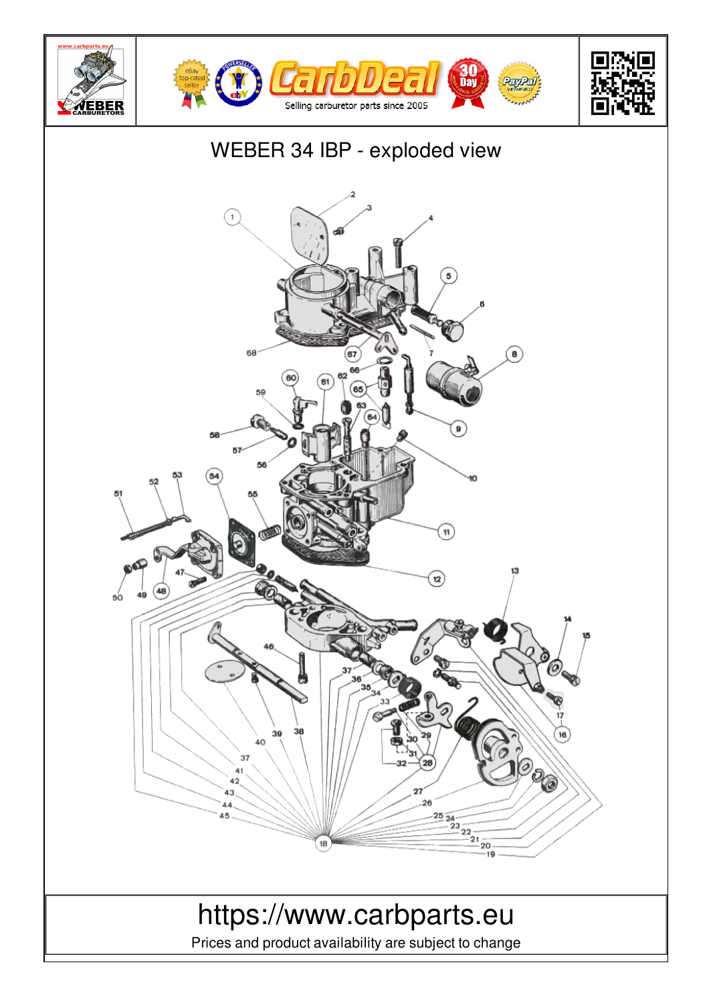